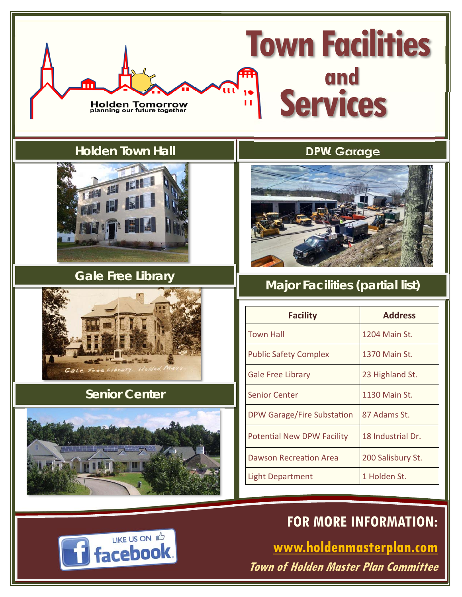

**Town of Holden Master Plan Committee**